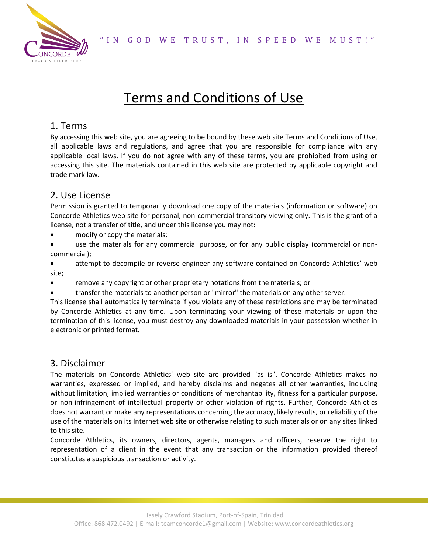

# Terms and Conditions of Use

# 1. Terms

By accessing this web site, you are agreeing to be bound by these web site Terms and Conditions of Use, all applicable laws and regulations, and agree that you are responsible for compliance with any applicable local laws. If you do not agree with any of these terms, you are prohibited from using or accessing this site. The materials contained in this web site are protected by applicable copyright and trade mark law.

## 2. Use License

Permission is granted to temporarily download one copy of the materials (information or software) on Concorde Athletics web site for personal, non-commercial transitory viewing only. This is the grant of a license, not a transfer of title, and under this license you may not:

- modify or copy the materials;
- use the materials for any commercial purpose, or for any public display (commercial or noncommercial);
- attempt to decompile or reverse engineer any software contained on Concorde Athletics' web site;
- remove any copyright or other proprietary notations from the materials; or
- transfer the materials to another person or "mirror" the materials on any other server.

This license shall automatically terminate if you violate any of these restrictions and may be terminated by Concorde Athletics at any time. Upon terminating your viewing of these materials or upon the termination of this license, you must destroy any downloaded materials in your possession whether in electronic or printed format.

#### 3. Disclaimer

The materials on Concorde Athletics' web site are provided "as is". Concorde Athletics makes no warranties, expressed or implied, and hereby disclaims and negates all other warranties, including without limitation, implied warranties or conditions of merchantability, fitness for a particular purpose, or non-infringement of intellectual property or other violation of rights. Further, Concorde Athletics does not warrant or make any representations concerning the accuracy, likely results, or reliability of the use of the materials on its Internet web site or otherwise relating to such materials or on any sites linked to this site.

Concorde Athletics, its owners, directors, agents, managers and officers, reserve the right to representation of a client in the event that any transaction or the information provided thereof constitutes a suspicious transaction or activity.